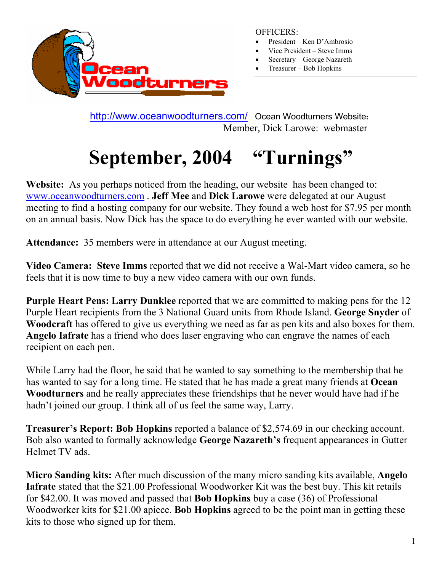

#### OFFICERS:

- President Ken D'Ambrosio
- Vice President Steve Imms
- Secretary George Nazareth
- Treasurer Bob Hopkins

 <http://www.oceanwoodturners.com/> Ocean Woodturners Website**:**  Member, Dick Larowe: webmaster

# **September, 2004 "Turnings"**

**Website:** As you perhaps noticed from the heading, our website has been changed to: [www.oceanwoodturners.com](http://www.oceanwoodturners.com/) . **Jeff Mee** and **Dick Larowe** were delegated at our August meeting to find a hosting company for our website. They found a web host for \$7.95 per month on an annual basis. Now Dick has the space to do everything he ever wanted with our website.

**Attendance:** 35 members were in attendance at our August meeting.

**Video Camera: Steve Imms** reported that we did not receive a Wal-Mart video camera, so he feels that it is now time to buy a new video camera with our own funds.

**Purple Heart Pens: Larry Dunklee** reported that we are committed to making pens for the 12 Purple Heart recipients from the 3 National Guard units from Rhode Island. **George Snyder** of **Woodcraft** has offered to give us everything we need as far as pen kits and also boxes for them. **Angelo Iafrate** has a friend who does laser engraving who can engrave the names of each recipient on each pen.

While Larry had the floor, he said that he wanted to say something to the membership that he has wanted to say for a long time. He stated that he has made a great many friends at **Ocean Woodturners** and he really appreciates these friendships that he never would have had if he hadn't joined our group. I think all of us feel the same way, Larry.

**Treasurer's Report: Bob Hopkins** reported a balance of \$2,574.69 in our checking account. Bob also wanted to formally acknowledge **George Nazareth's** frequent appearances in Gutter Helmet TV ads.

**Micro Sanding kits:** After much discussion of the many micro sanding kits available, **Angelo Iafrate** stated that the \$21.00 Professional Woodworker Kit was the best buy. This kit retails for \$42.00. It was moved and passed that **Bob Hopkins** buy a case (36) of Professional Woodworker kits for \$21.00 apiece. **Bob Hopkins** agreed to be the point man in getting these kits to those who signed up for them.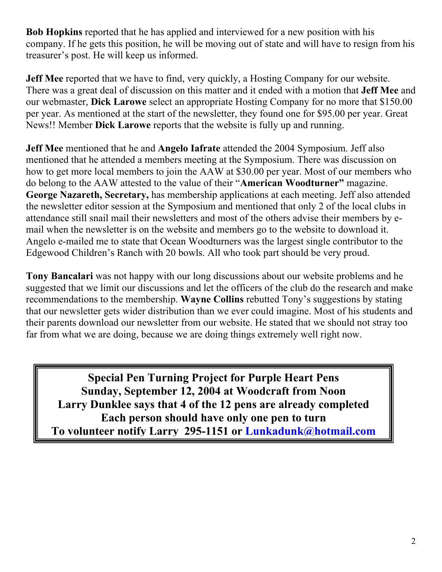**Bob Hopkins** reported that he has applied and interviewed for a new position with his company. If he gets this position, he will be moving out of state and will have to resign from his treasurer's post. He will keep us informed.

**Jeff Mee** reported that we have to find, very quickly, a Hosting Company for our website. There was a great deal of discussion on this matter and it ended with a motion that **Jeff Mee** and our webmaster, **Dick Larowe** select an appropriate Hosting Company for no more that \$150.00 per year. As mentioned at the start of the newsletter, they found one for \$95.00 per year. Great News!! Member **Dick Larowe** reports that the website is fully up and running.

**Jeff Mee** mentioned that he and **Angelo Iafrate** attended the 2004 Symposium. Jeff also mentioned that he attended a members meeting at the Symposium. There was discussion on how to get more local members to join the AAW at \$30.00 per year. Most of our members who do belong to the AAW attested to the value of their "**American Woodturner"** magazine. **George Nazareth, Secretary,** has membership applications at each meeting. Jeff also attended the newsletter editor session at the Symposium and mentioned that only 2 of the local clubs in attendance still snail mail their newsletters and most of the others advise their members by email when the newsletter is on the website and members go to the website to download it. Angelo e-mailed me to state that Ocean Woodturners was the largest single contributor to the Edgewood Children's Ranch with 20 bowls. All who took part should be very proud.

**Tony Bancalari** was not happy with our long discussions about our website problems and he suggested that we limit our discussions and let the officers of the club do the research and make recommendations to the membership. **Wayne Collins** rebutted Tony's suggestions by stating that our newsletter gets wider distribution than we ever could imagine. Most of his students and their parents download our newsletter from our website. He stated that we should not stray too far from what we are doing, because we are doing things extremely well right now.

**Special Pen Turning Project for Purple Heart Pens Sunday, September 12, 2004 at Woodcraft from Noon Larry Dunklee says that 4 of the 12 pens are already completed Each person should have only one pen to turn To volunteer notify Larry 295-1151 or [Lunkadunk@hotmail.com](mailto:Lunkadunk@hotmail.com)**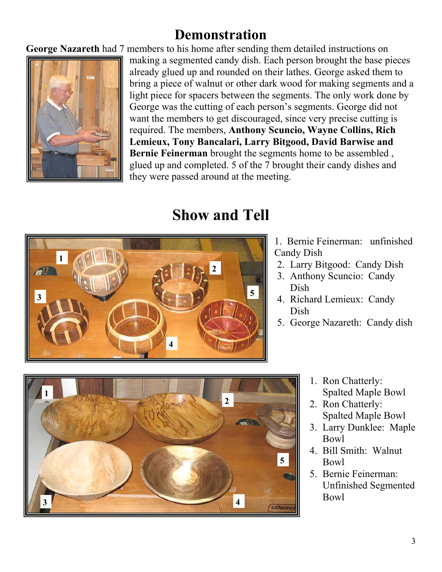### **Demonstration**

**George Nazareth** had 7 members to his home after sending them detailed instructions on



making a segmented candy dish. Each person brought the base pieces already glued up and rounded on their lathes. George asked them to bring a piece of walnut or other dark wood for making segments and a light piece for spacers between the segments. The only work done by George was the cutting of each person's segments. George did not want the members to get discouraged, since very precise cutting is required. The members, **Anthony Scuncio, Wayne Collins, Rich Lemieux, Tony Bancalari, Larry Bitgood, David Barwise and Bernie Feinerman** brought the segments home to be assembled , glued up and completed. 5 of the 7 brought their candy dishes and they were passed around at th e meeting.

# **Show and Tell**



- 1. Bernie Feinerman: unfinished Candy Dish
- 2. Larry Bitgood: Candy Dish
- 3. Anthony Scuncio: Candy Dish
- Dish 4. Richard Lemieux: Candy
- 5. George Nazareth: Candy dish



- 1. Ron Chatte rly: Spalted Maple Bowl
- 2. Ron Chatterly: Spalted Maple Bowl
- 3. Larry Dunklee: Maple Bowl
- 4. Bill Smith: Walnut Bowl
- 5. Bernie Feinerman: Unfinished Segmented Bowl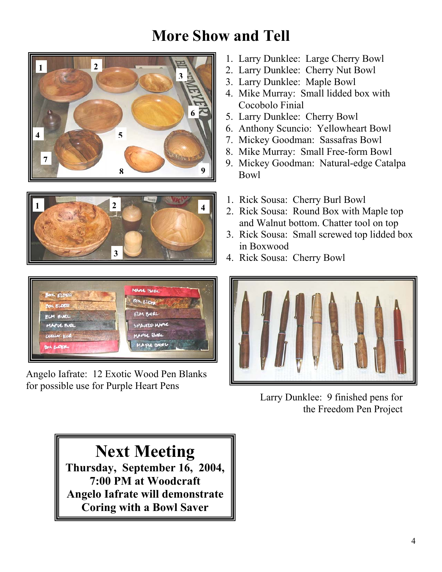## **More Show and Tell**







Angelo Iafrate: 12 Exotic Wood Pen Blanks for possible use for Purple Heart Pens

- 1. Larry Dunklee: Large Cherry Bowl
- 
- 
- 4. Mike Murray: Small lidded box with Cocobolo Finial
- **<sup>6</sup>** 5. Larry Dunklee: Cherry Bowl
- 6. Anthony Scuncio: Yellowheart Bowl
- 
- 8. Mike Murray: Small Free-form Bowl
- **8** 9. Mickey Goodman: Natural-edge Catalpa
	-
	- and Walnut bottom. Chatter tool on top
	- 3. Rick Sousa: Small screwed top lidded box in Boxwood
	-



Larry Dunklee: 9 finished pens for the Freedom Pen Project

**Next Meeting Thursday, September 16, 2004, 7:00 PM at Woodcraft Angelo Iafrate will demonstrate Coring with a Bowl Saver**